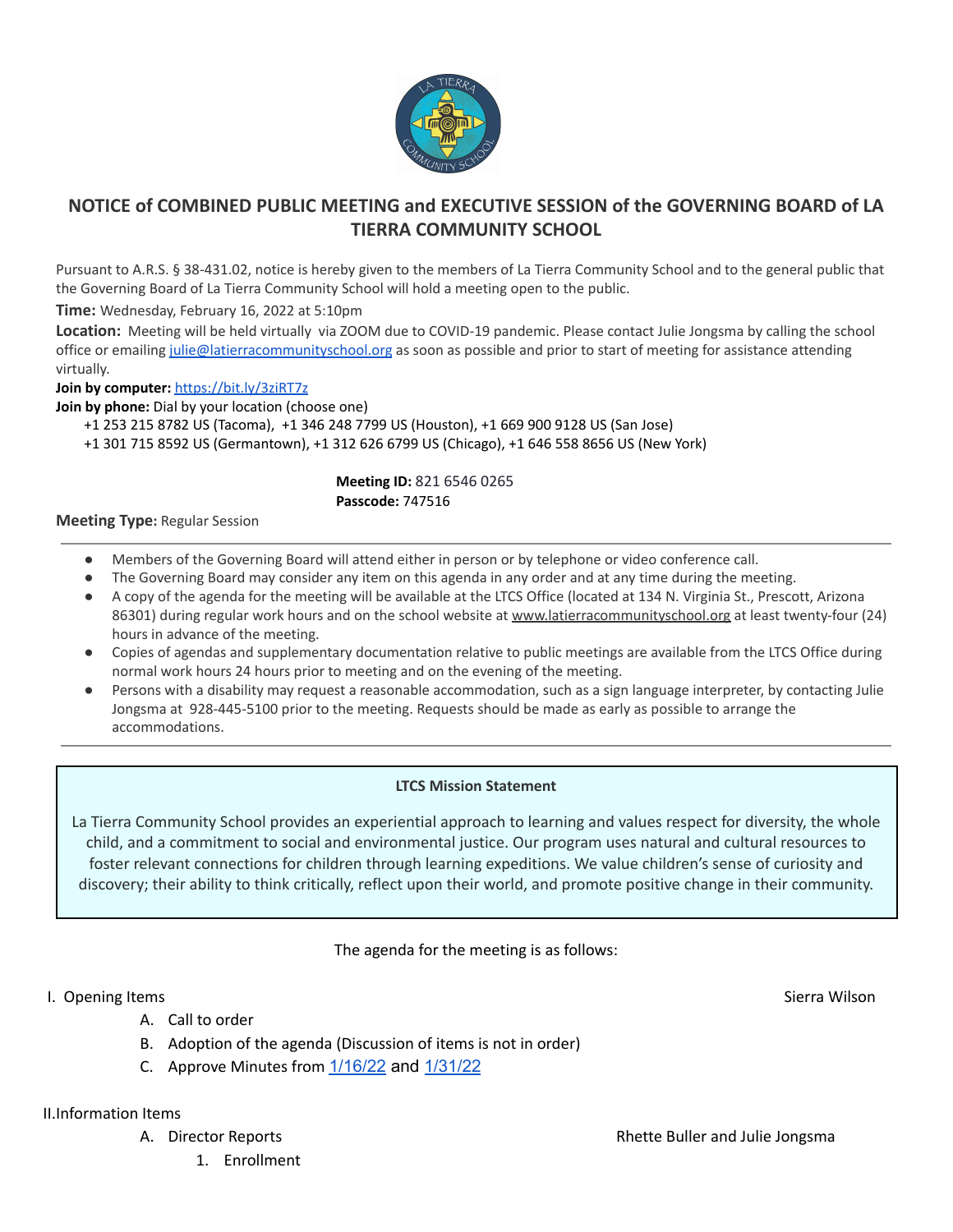

## **NOTICE of COMBINED PUBLIC MEETING and EXECUTIVE SESSION of the GOVERNING BOARD of LA TIERRA COMMUNITY SCHOOL**

Pursuant to A.R.S. § 38-431.02, notice is hereby given to the members of La Tierra Community School and to the general public that the Governing Board of La Tierra Community School will hold a meeting open to the public.

**Time:** Wednesday, February 16, 2022 at 5:10pm

**Location:** Meeting will be held virtually via ZOOM due to COVID-19 pandemic. Please contact Julie Jongsma by calling the school office or emailing [julie@latierracommunityschool.org](mailto:julie@latierracommunityschool.org) as soon as possible and prior to start of meeting for assistance attending virtually.

**Join by computer:** <https://bit.ly/3ziRT7z>

**Join by phone:** Dial by your location (choose one)

+1 253 215 8782 US (Tacoma), +1 346 248 7799 US (Houston), +1 669 900 9128 US (San Jose)

+1 301 715 8592 US (Germantown), +1 312 626 6799 US (Chicago), +1 646 558 8656 US (New York)

#### **Meeting ID:** 821 6546 0265 **Passcode:** 747516

#### **Meeting Type:** Regular Session

- Members of the Governing Board will attend either in person or by telephone or video conference call.
- The Governing Board may consider any item on this agenda in any order and at any time during the meeting.
- A copy of the agenda for the meeting will be available at the LTCS Office (located at 134 N. Virginia St., Prescott, Arizona 86301) during regular work hours and on the school website at [www.latierracommunityschool.org](http://www.latierracommunityschool.org) at least twenty-four (24) hours in advance of the meeting.
- Copies of agendas and supplementary documentation relative to public meetings are available from the LTCS Office during normal work hours 24 hours prior to meeting and on the evening of the meeting.
- Persons with a disability may request a reasonable accommodation, such as a sign language interpreter, by contacting Julie Jongsma at 928-445-5100 prior to the meeting. Requests should be made as early as possible to arrange the accommodations.

### **LTCS Mission Statement**

La Tierra Community School provides an experiential approach to learning and values respect for diversity, the whole child, and a commitment to social and environmental justice. Our program uses natural and cultural resources to foster relevant connections for children through learning expeditions. We value children's sense of curiosity and discovery; their ability to think critically, reflect upon their world, and promote positive change in their community.

The agenda for the meeting is as follows:

### I. Opening Items Sierra Wilson Sierra Wilson Sierra Wilson Sierra Wilson Sierra Wilson Sierra Wilson Sierra Wilson

- A. Call to order
- B. Adoption of the agenda (Discussion of items is not in order)
- C. Approve Minutes from  $1/16/22$  and  $1/31/22$

II.Information Items

- - 1. Enrollment

A. Director Reports **Reports Reports Reports Rhette Buller and Julie Jongsma**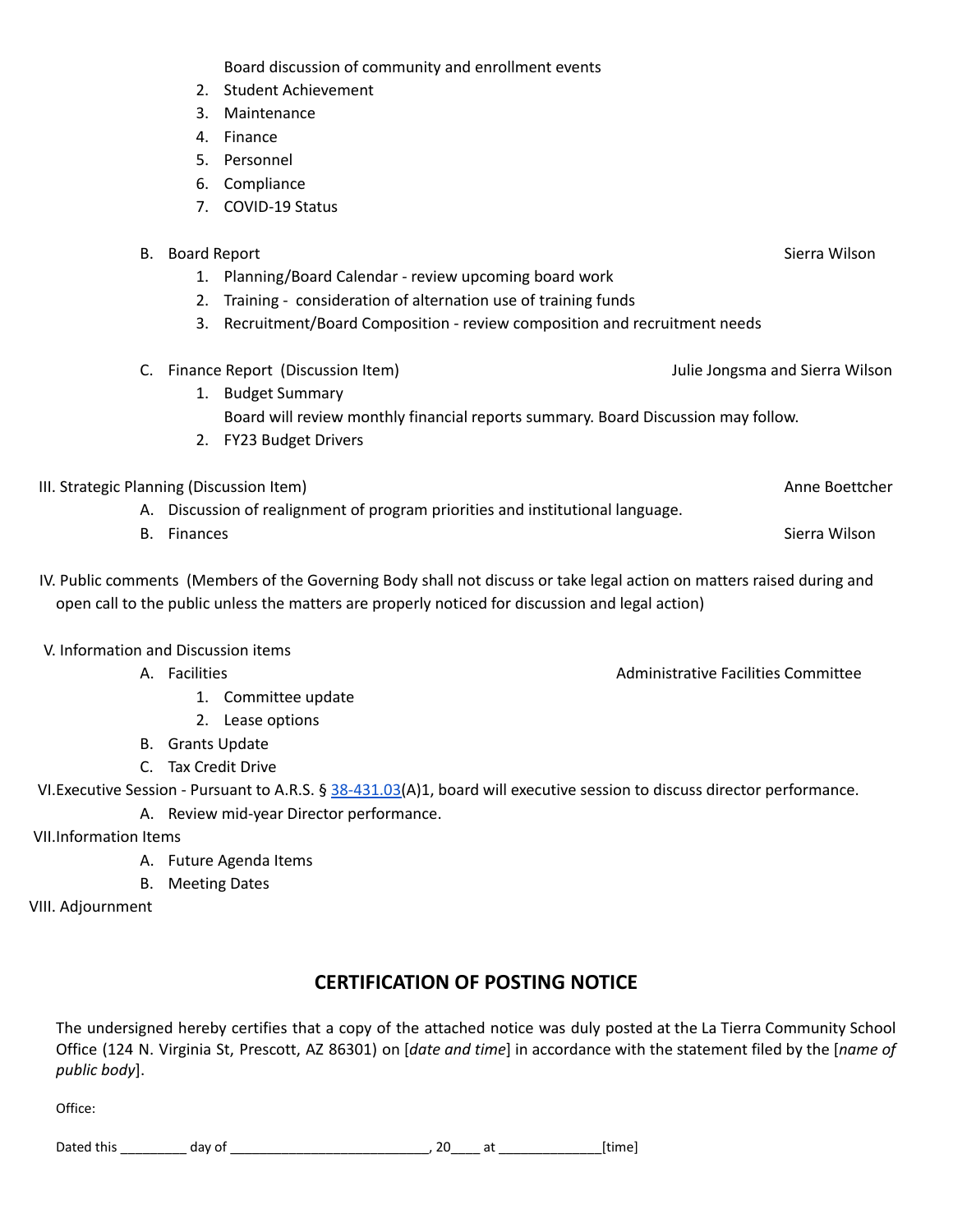Board discussion of community and enrollment events

- 2. Student Achievement
- 3. Maintenance
- 4. Finance
- 5. Personnel
- 6. Compliance
- 7. COVID-19 Status

| В.                                                                             | <b>Board Report</b>                                                               |                                                                          |                                 | Sierra Wilson |
|--------------------------------------------------------------------------------|-----------------------------------------------------------------------------------|--------------------------------------------------------------------------|---------------------------------|---------------|
|                                                                                |                                                                                   | Planning/Board Calendar - review upcoming board work                     |                                 |               |
|                                                                                | Training - consideration of alternation use of training funds                     |                                                                          |                                 |               |
|                                                                                | 3.                                                                                | Recruitment/Board Composition - review composition and recruitment needs |                                 |               |
| C.                                                                             |                                                                                   | Finance Report (Discussion Item)                                         | Julie Jongsma and Sierra Wilson |               |
|                                                                                |                                                                                   | <b>Budget Summary</b>                                                    |                                 |               |
|                                                                                | Board will review monthly financial reports summary. Board Discussion may follow. |                                                                          |                                 |               |
|                                                                                | 2.                                                                                | <b>FY23 Budget Drivers</b>                                               |                                 |               |
| III. Strategic Planning (Discussion Item)                                      |                                                                                   |                                                                          | Anne Boettcher                  |               |
| A. Discussion of realignment of program priorities and institutional language. |                                                                                   |                                                                          |                                 |               |
| В.<br><b>Finances</b>                                                          |                                                                                   |                                                                          | Sierra Wilson                   |               |

IV. Public comments (Members of the Governing Body shall not discuss or take legal action on matters raised during and open call to the public unless the matters are properly noticed for discussion and legal action)

V. Information and Discussion items

- A. Facilities **Administrative Facilities** Committee
	- 1. Committee update
	- 2. Lease options
- B. Grants Update
- C. Tax Credit Drive

VI. Executive Session - Pursuant to A.R.S. § [38-431.03\(](http://www.azleg.gov/viewdocument/?docName=http://www.azleg.gov/ars/38/00431-03.htm)A)1, board will executive session to discuss director performance.

- A. Review mid-year Director performance.
- VII.Information Items
	- A. Future Agenda Items
	- B. Meeting Dates

VIII. Adjournment

# **CERTIFICATION OF POSTING NOTICE**

The undersigned hereby certifies that a copy of the attached notice was duly posted at the La Tierra Community School Office (124 N. Virginia St, Prescott, AZ 86301) on [*date and time*] in accordance with the statement filed by the [*name of public body*].

Office:

Dated this \_\_\_\_\_\_\_\_\_ day of \_\_\_\_\_\_\_\_\_\_\_\_\_\_\_\_\_\_\_\_\_\_\_\_\_\_\_, 20\_\_\_\_ at \_\_\_\_\_\_\_\_\_\_\_\_\_\_[time]